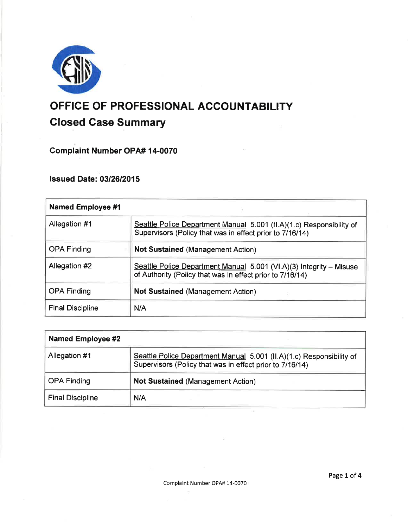

# OFFICE OF PROFESSIONAL ACCOUNTABILITY Glosed Gase Summary

Complaint Number OPA# 14-OO7O

lssued Date: 0312612015

| <b>Named Employee #1</b> |                                                                                                                                  |
|--------------------------|----------------------------------------------------------------------------------------------------------------------------------|
| Allegation #1            | Seattle Police Department Manual 5.001 (II.A)(1.c) Responsibility of<br>Supervisors (Policy that was in effect prior to 7/16/14) |
| <b>OPA Finding</b>       | <b>Not Sustained (Management Action)</b>                                                                                         |
| Allegation #2            | Seattle Police Department Manual 5.001 (VI.A)(3) Integrity – Misuse<br>of Authority (Policy that was in effect prior to 7/16/14) |
| <b>OPA Finding</b>       | <b>Not Sustained (Management Action)</b>                                                                                         |
| <b>Final Discipline</b>  | N/A                                                                                                                              |

| <b>Named Employee #2</b> |                                                                                                                                  |
|--------------------------|----------------------------------------------------------------------------------------------------------------------------------|
| Allegation #1            | Seattle Police Department Manual 5.001 (II.A)(1.c) Responsibility of<br>Supervisors (Policy that was in effect prior to 7/16/14) |
| OPA Finding              | <b>Not Sustained (Management Action)</b>                                                                                         |
| <b>Final Discipline</b>  | N/A                                                                                                                              |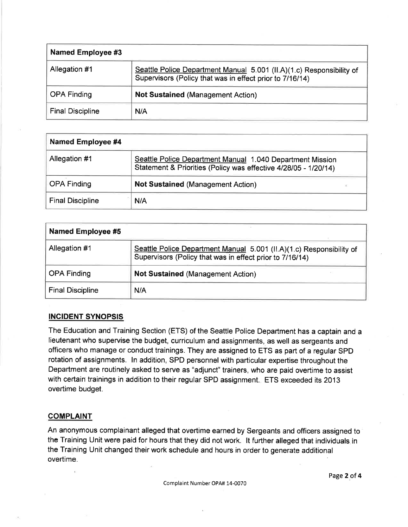| <b>Named Employee #3</b> |                                                                                                                                  |
|--------------------------|----------------------------------------------------------------------------------------------------------------------------------|
| Allegation #1            | Seattle Police Department Manual 5.001 (II.A)(1.c) Responsibility of<br>Supervisors (Policy that was in effect prior to 7/16/14) |
| <b>OPA Finding</b>       | <b>Not Sustained (Management Action)</b>                                                                                         |
| <b>Final Discipline</b>  | N/A                                                                                                                              |

| Named Employee #4       |                                                                                                                              |
|-------------------------|------------------------------------------------------------------------------------------------------------------------------|
| Allegation #1           | Seattle Police Department Manual 1.040 Department Mission<br>Statement & Priorities (Policy was effective 4/28/05 - 1/20/14) |
| <b>OPA Finding</b>      | <b>Not Sustained (Management Action)</b><br>F.                                                                               |
| <b>Final Discipline</b> | N/A                                                                                                                          |

| <b>Named Employee #5</b> |                                                                                                                                  |
|--------------------------|----------------------------------------------------------------------------------------------------------------------------------|
| Allegation #1            | Seattle Police Department Manual 5.001 (II.A)(1.c) Responsibility of<br>Supervisors (Policy that was in effect prior to 7/16/14) |
| <b>OPA Finding</b>       | <b>Not Sustained (Management Action)</b>                                                                                         |
| <b>Final Discipline</b>  | N/A                                                                                                                              |

# INCIDENT SYNOPSIS

The Education and Training Section (ETS) of the Seattle Police Department has a captain and a lieutenant who supervise the budget, curriculum and assignments, as well as sergeants and officers who manage or conduct trainings. They are assigned to ETS as part of a regular SPD rotation of assignments. ln addition, SPD personnel with particular expertise throughout the Department are routinely asked to serve as "adjunct" trainers, who are paid overtime to assist with certain trainings in addition to their regular SPD assignment. ETS exceeded its 2013 overtime budget.

# **COMPLAINT**

An anonymous complainant alleged that overtime earned by Sergeants and officers assigned to the Training Unit were paid for hours that they did not work. lt further alleged that individuals in the Training Unit changed their work schedule and hours in order to generate additional overtime.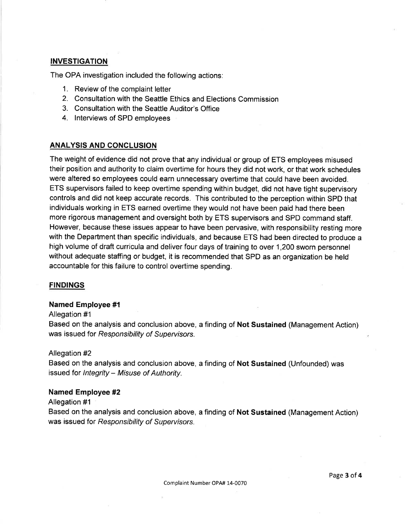# INVESTIGATION

The OPA investigation included the following actions:

- 1. Review of the complaint letter
- 2. Consultation with the Seattle Ethics and Elections Commission
- 3. Consultation with the Seattle Auditor's Office
- 4. lnterviews of SPD employees

# ANALYSIS AND CONCLUSION

The weight of evidence did not prove that any individual or group of ETS employees misused their position and authority to claim overtime for hours they did not work, or that work schedules were altered so employees could earn unnecessary overtime that could have been avoided. ETS supervisors failed to keep overtime spending within budget, did not have tight supervisory controls and did not keep accurate records. This contributed to the perception within SPD that individuals working in ETS earned overtime they would not have been paid had there been more rigorous management and oversight both by ETS supervisors and SPD command staff. However, because these issues appear to have been pervasive, with responsibility resting more with the Department than specific individuals, and because ETS had been directed to produce a high volume of draft curricula and deliver four days of training to over 1,200 sworn personnel without adequate staffing or budget, it is recommended that SPD as an organization be held accountable for this failure to control overtime spending.

# **FINDINGS**

#### Named Employee #1

#### Allegation #1

Based on the analysis and conclusion above, a finding of Not Sustained (Management Action) was issued for Responsibility of Supervisors.

#### Allegation #2

Based on the analysis and conclusion above, a finding of Not Sustained (Unfounded) was issued for Integrity - Misuse of Authority.

#### Named Employee #2

#### Allegation #1

Based on the analysis and conclusion above, a finding of Not Sustained (Management Action) was issued for Responsibility of Supervisors.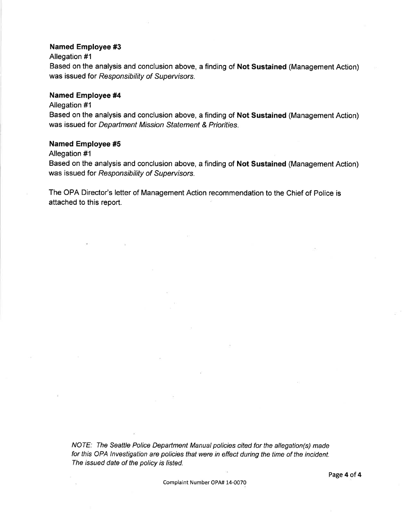#### Named Employee #3

#### Allegation #1

Based on the analysis and conclusion above, a finding of Not Sustained (Management Action) was issued for Responsibility of Supervisors.

### Named Employee #4

#### Allegation #1

Based on the analysis and conclusion above, a finding of Not Sustained (Management Action) was issued for Department Mission Statement & Priorities.

#### Named Employee #5

#### Allegation #1

Based on the analysis and conclusion above, a finding of Not Sustained (Management Action) was issued for Responsibility of Supervisors.

The OPA Director's letter of Management Action recommendation to the Chief of Police is attached to this report.

NOTE: The Seattle Police Department Manual policies cited for the allegation(s) made for this OPA lnvestigation are policies that were in effect during the time of the incident. The issued date of the policy is listed.

Complaint Number OPA# 14-0070

Page 4 of 4